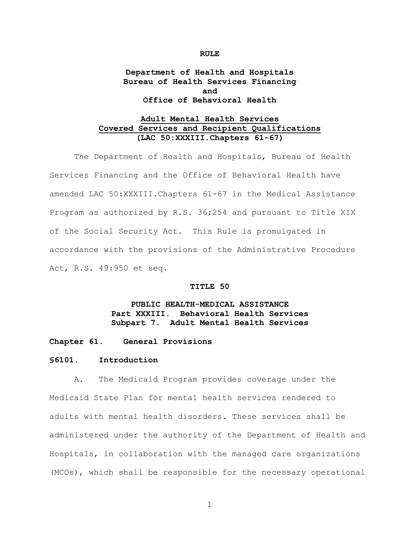# **Department of Health and Hospitals Bureau of Health Services Financing and Office of Behavioral Health**

# **Adult Mental Health Services Covered Services and Recipient Qualifications (LAC 50:XXXIII.Chapters 61-67)**

The Department of Health and Hospitals, Bureau of Health Services Financing and the Office of Behavioral Health have amended LAC 50:XXXIII.Chapters 61-67 in the Medical Assistance Program as authorized by R.S. 36:254 and pursuant to Title XIX of the Social Security Act. This Rule is promulgated in accordance with the provisions of the Administrative Procedure Act, R.S. 49:950 et seq.

## **TITLE 50**

# **PUBLIC HEALTH-MEDICAL ASSISTANCE Part XXXIII. Behavioral Health Services Subpart 7. Adult Mental Health Services**

## **Chapter 61. General Provisions**

#### **§6101. Introduction**

A. The Medicaid Program provides coverage under the Medicaid State Plan for mental health services rendered to adults with mental health disorders. These services shall be administered under the authority of the Department of Health and Hospitals, in collaboration with the managed care organizations (MCOs), which shall be responsible for the necessary operational

1

#### **RULE**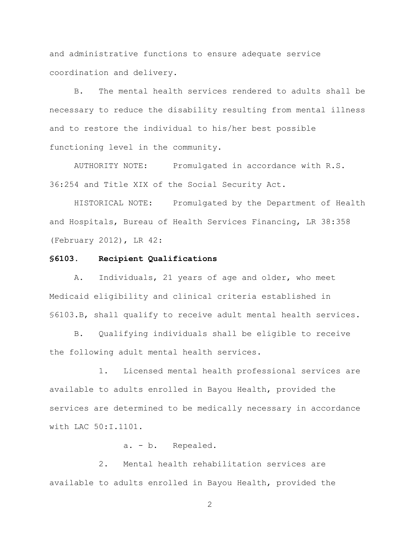and administrative functions to ensure adequate service coordination and delivery.

B. The mental health services rendered to adults shall be necessary to reduce the disability resulting from mental illness and to restore the individual to his/her best possible functioning level in the community.

AUTHORITY NOTE: Promulgated in accordance with R.S. 36:254 and Title XIX of the Social Security Act.

HISTORICAL NOTE: Promulgated by the Department of Health and Hospitals, Bureau of Health Services Financing, LR 38:358 (February 2012), LR 42:

### **§6103. Recipient Qualifications**

A. Individuals, 21 years of age and older, who meet Medicaid eligibility and clinical criteria established in §6103.B, shall qualify to receive adult mental health services.

B. Qualifying individuals shall be eligible to receive the following adult mental health services.

1. Licensed mental health professional services are available to adults enrolled in Bayou Health, provided the services are determined to be medically necessary in accordance with LAC 50:I.1101.

a. - b. Repealed.

2. Mental health rehabilitation services are available to adults enrolled in Bayou Health, provided the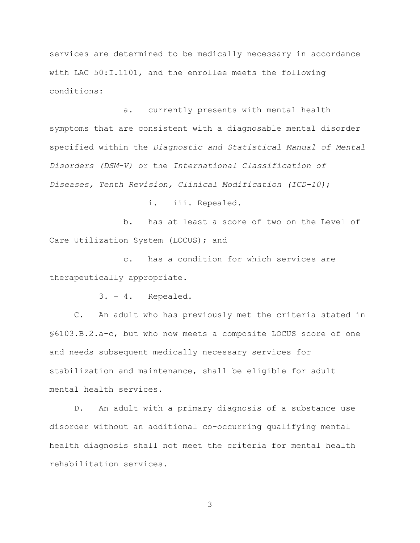services are determined to be medically necessary in accordance with LAC 50:I.1101, and the enrollee meets the following conditions:

a. currently presents with mental health symptoms that are consistent with a diagnosable mental disorder specified within the *Diagnostic and Statistical Manual of Mental Disorders (DSM-V)* or the *International Classification of Diseases, Tenth Revision, Clinical Modification (ICD-10)*;

i. – iii. Repealed.

b. has at least a score of two on the Level of Care Utilization System (LOCUS); and

c. has a condition for which services are therapeutically appropriate.

3. – 4. Repealed.

C. An adult who has previously met the criteria stated in §6103.B.2.a-c, but who now meets a composite LOCUS score of one and needs subsequent medically necessary services for stabilization and maintenance, shall be eligible for adult mental health services.

D. An adult with a primary diagnosis of a substance use disorder without an additional co-occurring qualifying mental health diagnosis shall not meet the criteria for mental health rehabilitation services.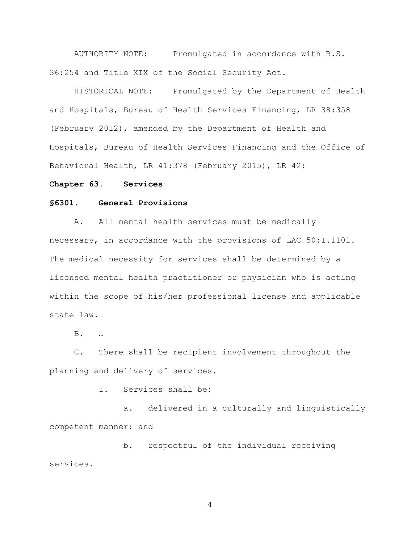AUTHORITY NOTE: Promulgated in accordance with R.S. 36:254 and Title XIX of the Social Security Act.

HISTORICAL NOTE: Promulgated by the Department of Health and Hospitals, Bureau of Health Services Financing, LR 38:358 (February 2012), amended by the Department of Health and Hospitals, Bureau of Health Services Financing and the Office of Behavioral Health, LR 41:378 (February 2015), LR 42:

#### **Chapter 63. Services**

#### **§6301. General Provisions**

A. All mental health services must be medically necessary, in accordance with the provisions of LAC 50:I.1101. The medical necessity for services shall be determined by a licensed mental health practitioner or physician who is acting within the scope of his/her professional license and applicable state law.

B. …

C. There shall be recipient involvement throughout the planning and delivery of services.

1. Services shall be:

a. delivered in a culturally and linguistically competent manner; and

b. respectful of the individual receiving services.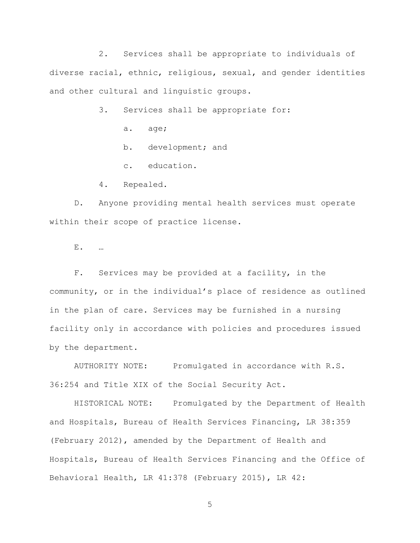2. Services shall be appropriate to individuals of diverse racial, ethnic, religious, sexual, and gender identities and other cultural and linguistic groups.

3. Services shall be appropriate for:

- a. age;
- b. development; and
- c. education.
- 4. Repealed.

D. Anyone providing mental health services must operate within their scope of practice license.

E. …

F. Services may be provided at a facility, in the community, or in the individual's place of residence as outlined in the plan of care. Services may be furnished in a nursing facility only in accordance with policies and procedures issued by the department.

AUTHORITY NOTE: Promulgated in accordance with R.S. 36:254 and Title XIX of the Social Security Act.

HISTORICAL NOTE: Promulgated by the Department of Health and Hospitals, Bureau of Health Services Financing, LR 38:359 (February 2012), amended by the Department of Health and Hospitals, Bureau of Health Services Financing and the Office of Behavioral Health, LR 41:378 (February 2015), LR 42: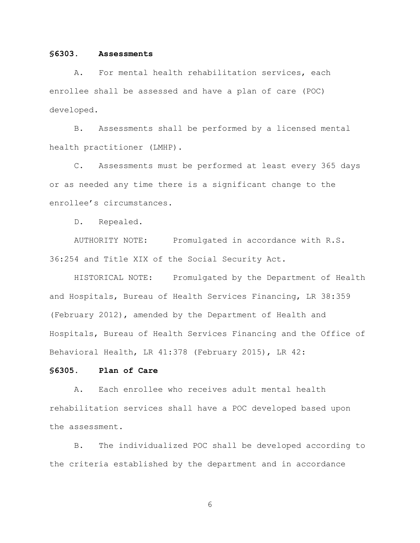### **§6303. Assessments**

A. For mental health rehabilitation services, each enrollee shall be assessed and have a plan of care (POC) developed.

B. Assessments shall be performed by a licensed mental health practitioner (LMHP).

C. Assessments must be performed at least every 365 days or as needed any time there is a significant change to the enrollee's circumstances.

D. Repealed.

AUTHORITY NOTE: Promulgated in accordance with R.S. 36:254 and Title XIX of the Social Security Act.

HISTORICAL NOTE: Promulgated by the Department of Health and Hospitals, Bureau of Health Services Financing, LR 38:359 (February 2012), amended by the Department of Health and Hospitals, Bureau of Health Services Financing and the Office of Behavioral Health, LR 41:378 (February 2015), LR 42:

#### **§6305. Plan of Care**

A. Each enrollee who receives adult mental health rehabilitation services shall have a POC developed based upon the assessment.

B. The individualized POC shall be developed according to the criteria established by the department and in accordance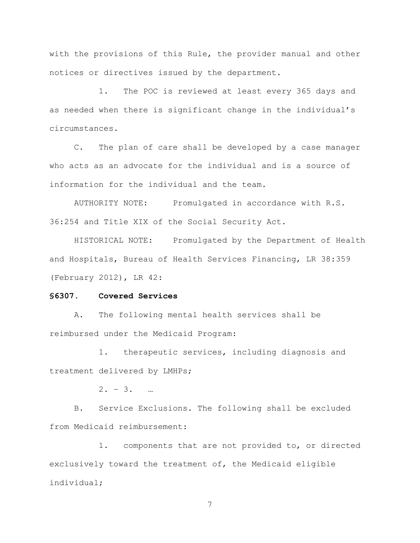with the provisions of this Rule, the provider manual and other notices or directives issued by the department.

1. The POC is reviewed at least every 365 days and as needed when there is significant change in the individual's circumstances.

C. The plan of care shall be developed by a case manager who acts as an advocate for the individual and is a source of information for the individual and the team.

AUTHORITY NOTE: Promulgated in accordance with R.S. 36:254 and Title XIX of the Social Security Act.

HISTORICAL NOTE: Promulgated by the Department of Health and Hospitals, Bureau of Health Services Financing, LR 38:359 (February 2012), LR 42:

## **§6307. Covered Services**

A. The following mental health services shall be reimbursed under the Medicaid Program:

1. therapeutic services, including diagnosis and treatment delivered by LMHPs;

 $2. - 3. - ...$ 

B. Service Exclusions. The following shall be excluded from Medicaid reimbursement:

1. components that are not provided to, or directed exclusively toward the treatment of, the Medicaid eligible individual;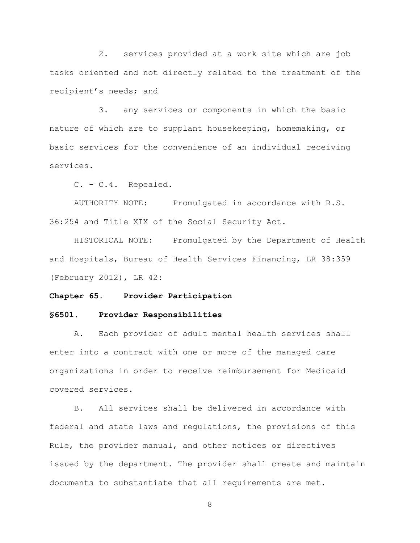2. services provided at a work site which are job tasks oriented and not directly related to the treatment of the recipient's needs; and

3. any services or components in which the basic nature of which are to supplant housekeeping, homemaking, or basic services for the convenience of an individual receiving services.

C. - C.4. Repealed.

AUTHORITY NOTE: Promulgated in accordance with R.S. 36:254 and Title XIX of the Social Security Act.

HISTORICAL NOTE: Promulgated by the Department of Health and Hospitals, Bureau of Health Services Financing, LR 38:359 (February 2012), LR 42:

#### **Chapter 65. Provider Participation**

## **§6501. Provider Responsibilities**

A. Each provider of adult mental health services shall enter into a contract with one or more of the managed care organizations in order to receive reimbursement for Medicaid covered services.

B. All services shall be delivered in accordance with federal and state laws and regulations, the provisions of this Rule, the provider manual, and other notices or directives issued by the department. The provider shall create and maintain documents to substantiate that all requirements are met.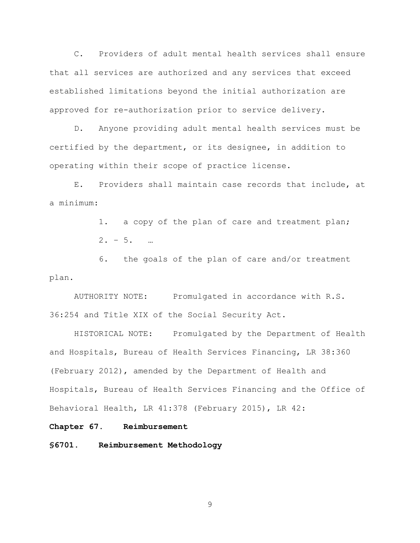C. Providers of adult mental health services shall ensure that all services are authorized and any services that exceed established limitations beyond the initial authorization are approved for re-authorization prior to service delivery.

D. Anyone providing adult mental health services must be certified by the department, or its designee, in addition to operating within their scope of practice license.

E. Providers shall maintain case records that include, at a minimum:

> 1. a copy of the plan of care and treatment plan;  $2. - 5. - ...$

6. the goals of the plan of care and/or treatment plan.

AUTHORITY NOTE: Promulgated in accordance with R.S. 36:254 and Title XIX of the Social Security Act.

HISTORICAL NOTE: Promulgated by the Department of Health and Hospitals, Bureau of Health Services Financing, LR 38:360 (February 2012), amended by the Department of Health and Hospitals, Bureau of Health Services Financing and the Office of Behavioral Health, LR 41:378 (February 2015), LR 42:

**Chapter 67. Reimbursement**

**§6701. Reimbursement Methodology**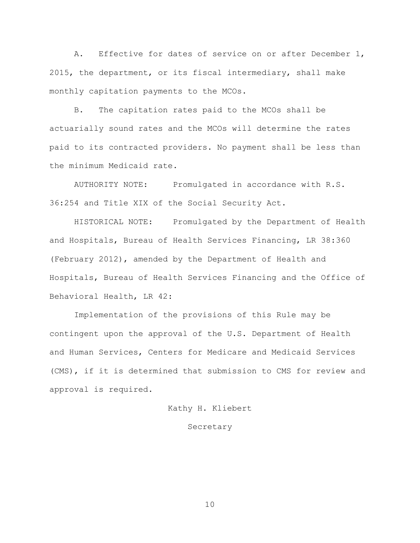A. Effective for dates of service on or after December 1, 2015, the department, or its fiscal intermediary, shall make monthly capitation payments to the MCOs.

B. The capitation rates paid to the MCOs shall be actuarially sound rates and the MCOs will determine the rates paid to its contracted providers. No payment shall be less than the minimum Medicaid rate.

AUTHORITY NOTE: Promulgated in accordance with R.S. 36:254 and Title XIX of the Social Security Act.

HISTORICAL NOTE: Promulgated by the Department of Health and Hospitals, Bureau of Health Services Financing, LR 38:360 (February 2012), amended by the Department of Health and Hospitals, Bureau of Health Services Financing and the Office of Behavioral Health, LR 42:

Implementation of the provisions of this Rule may be contingent upon the approval of the U.S. Department of Health and Human Services, Centers for Medicare and Medicaid Services (CMS), if it is determined that submission to CMS for review and approval is required.

Kathy H. Kliebert

## Secretary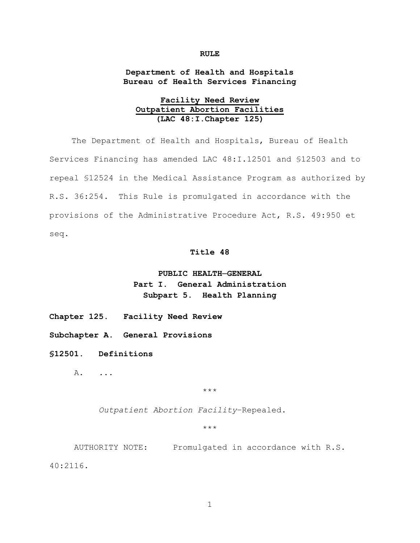#### **RULE**

## **Department of Health and Hospitals Bureau of Health Services Financing**

# **Facility Need Review Outpatient Abortion Facilities (LAC 48:I.Chapter 125)**

The Department of Health and Hospitals, Bureau of Health Services Financing has amended LAC 48:I.12501 and §12503 and to repeal §12524 in the Medical Assistance Program as authorized by R.S. 36:254. This Rule is promulgated in accordance with the provisions of the Administrative Procedure Act, R.S. 49:950 et seq.

#### **Title 48**

# **PUBLIC HEALTH─GENERAL Part I. General Administration Subpart 5. Health Planning**

**Chapter 125. Facility Need Review**

**Subchapter A. General Provisions**

**§12501. Definitions**

A. ...

\*\*\*

*Outpatient Abortion Facility*–Repealed.

\*\*\*

AUTHORITY NOTE: Promulgated in accordance with R.S.

40:2116.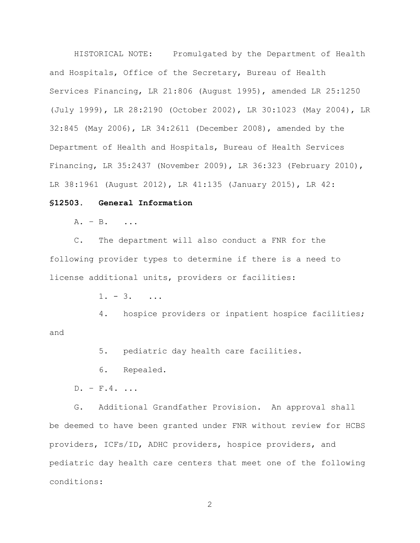HISTORICAL NOTE: Promulgated by the Department of Health and Hospitals, Office of the Secretary, Bureau of Health Services Financing, LR 21:806 (August 1995), amended LR 25:1250 (July 1999), LR 28:2190 (October 2002), LR 30:1023 (May 2004), LR 32:845 (May 2006), LR 34:2611 (December 2008), amended by the Department of Health and Hospitals, Bureau of Health Services Financing, LR 35:2437 (November 2009), LR 36:323 (February 2010), LR 38:1961 (August 2012), LR 41:135 (January 2015), LR 42:

### **§12503. General Information**

A. – B. ...

C. The department will also conduct a FNR for the following provider types to determine if there is a need to license additional units, providers or facilities:

 $1. - 3.$  ...

4. hospice providers or inpatient hospice facilities; and

5. pediatric day health care facilities.

6. Repealed.

 $D. - F.4.$ ...

G. Additional Grandfather Provision. An approval shall be deemed to have been granted under FNR without review for HCBS providers, ICFs/ID, ADHC providers, hospice providers, and pediatric day health care centers that meet one of the following conditions: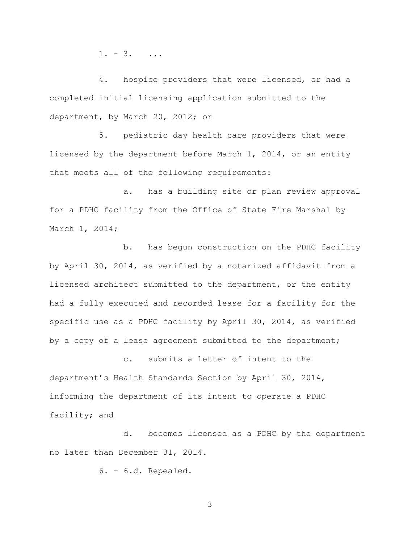$1. - 3.$  ...

4. hospice providers that were licensed, or had a completed initial licensing application submitted to the department, by March 20, 2012; or

5. pediatric day health care providers that were licensed by the department before March 1, 2014, or an entity that meets all of the following requirements:

a. has a building site or plan review approval for a PDHC facility from the Office of State Fire Marshal by March 1, 2014;

b. has begun construction on the PDHC facility by April 30, 2014, as verified by a notarized affidavit from a licensed architect submitted to the department, or the entity had a fully executed and recorded lease for a facility for the specific use as a PDHC facility by April 30, 2014, as verified by a copy of a lease agreement submitted to the department;

c. submits a letter of intent to the department's Health Standards Section by April 30, 2014, informing the department of its intent to operate a PDHC facility; and

d. becomes licensed as a PDHC by the department no later than December 31, 2014.

6. - 6.d. Repealed.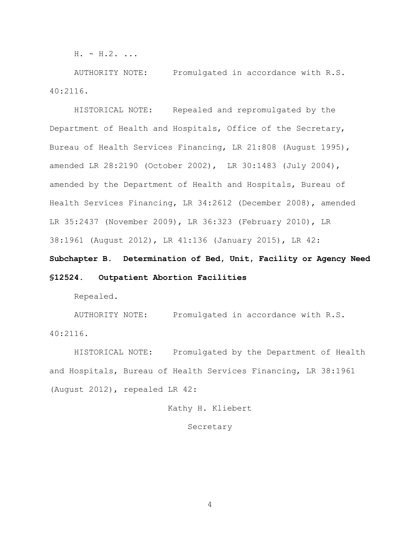$H. - H.2.$ ...

AUTHORITY NOTE: Promulgated in accordance with R.S. 40:2116.

HISTORICAL NOTE: Repealed and repromulgated by the Department of Health and Hospitals, Office of the Secretary, Bureau of Health Services Financing, LR 21:808 (August 1995), amended LR 28:2190 (October 2002), LR 30:1483 (July 2004), amended by the Department of Health and Hospitals, Bureau of Health Services Financing, LR 34:2612 (December 2008), amended LR 35:2437 (November 2009), LR 36:323 (February 2010), LR 38:1961 (August 2012), LR 41:136 (January 2015), LR 42:

**Subchapter B. Determination of Bed, Unit, Facility or Agency Need §12524. Outpatient Abortion Facilities**

Repealed.

AUTHORITY NOTE: Promulgated in accordance with R.S. 40:2116.

HISTORICAL NOTE: Promulgated by the Department of Health and Hospitals, Bureau of Health Services Financing, LR 38:1961 (August 2012), repealed LR 42:

Kathy H. Kliebert

Secretary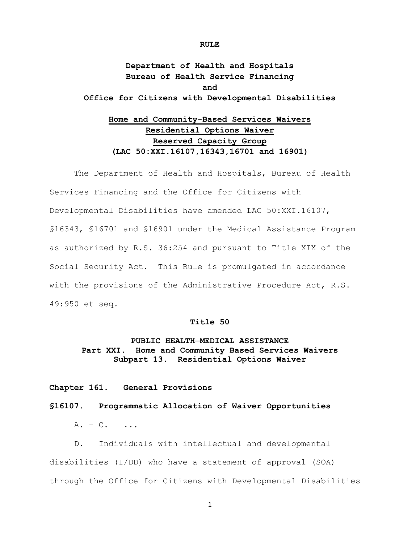# **Department of Health and Hospitals Bureau of Health Service Financing and Office for Citizens with Developmental Disabilities**

# **Home and Community-Based Services Waivers Residential Options Waiver Reserved Capacity Group (LAC 50:XXI.16107,16343,16701 and 16901)**

The Department of Health and Hospitals, Bureau of Health Services Financing and the Office for Citizens with Developmental Disabilities have amended LAC 50:XXI.16107, §16343, §16701 and §16901 under the Medical Assistance Program as authorized by R.S. 36:254 and pursuant to Title XIX of the Social Security Act. This Rule is promulgated in accordance with the provisions of the Administrative Procedure Act, R.S. 49:950 et seq.

## **Title 50**

# **PUBLIC HEALTH─MEDICAL ASSISTANCE Part XXI. Home and Community Based Services Waivers Subpart 13. Residential Options Waiver**

**Chapter 161. General Provisions**

### **§16107. Programmatic Allocation of Waiver Opportunities**

 $A. - C.$  ...

D. Individuals with intellectual and developmental disabilities (I/DD) who have a statement of approval (SOA) through the Office for Citizens with Developmental Disabilities

#### **RULE**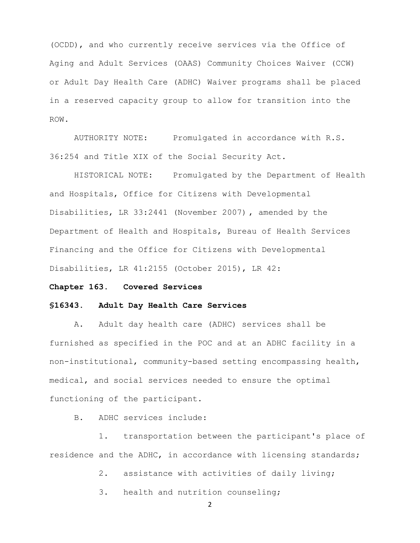(OCDD), and who currently receive services via the Office of Aging and Adult Services (OAAS) Community Choices Waiver (CCW) or Adult Day Health Care (ADHC) Waiver programs shall be placed in a reserved capacity group to allow for transition into the ROW.

AUTHORITY NOTE: Promulgated in accordance with R.S. 36:254 and Title XIX of the Social Security Act.

HISTORICAL NOTE: Promulgated by the Department of Health and Hospitals, Office for Citizens with Developmental Disabilities, LR 33:2441 (November 2007) , amended by the Department of Health and Hospitals, Bureau of Health Services Financing and the Office for Citizens with Developmental Disabilities, LR 41:2155 (October 2015), LR 42:

## **Chapter 163. Covered Services**

#### **§16343. Adult Day Health Care Services**

A. Adult day health care (ADHC) services shall be furnished as specified in the POC and at an ADHC facility in a non-institutional, community-based setting encompassing health, medical, and social services needed to ensure the optimal functioning of the participant.

B. ADHC services include:

1. transportation between the participant's place of residence and the ADHC, in accordance with licensing standards;

2. assistance with activities of daily living;

3. health and nutrition counseling;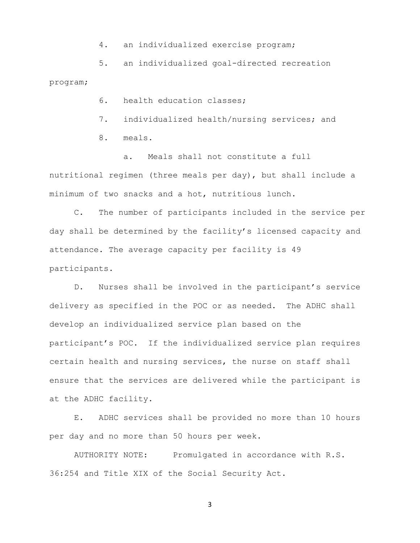- 4. an individualized exercise program;
- 5. an individualized goal-directed recreation

program;

- 6. health education classes;
- 7. individualized health/nursing services; and
- 8. meals.

a. Meals shall not constitute a full nutritional regimen (three meals per day), but shall include a minimum of two snacks and a hot, nutritious lunch.

C. The number of participants included in the service per day shall be determined by the facility's licensed capacity and attendance. The average capacity per facility is 49 participants.

D. Nurses shall be involved in the participant's service delivery as specified in the POC or as needed. The ADHC shall develop an individualized service plan based on the participant's POC. If the individualized service plan requires certain health and nursing services, the nurse on staff shall ensure that the services are delivered while the participant is at the ADHC facility.

E. ADHC services shall be provided no more than 10 hours per day and no more than 50 hours per week.

AUTHORITY NOTE: Promulgated in accordance with R.S. 36:254 and Title XIX of the Social Security Act.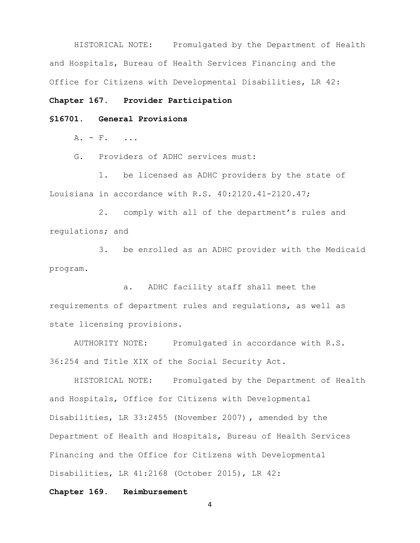HISTORICAL NOTE: Promulgated by the Department of Health and Hospitals, Bureau of Health Services Financing and the Office for Citizens with Developmental Disabilities, LR 42:

#### **Chapter 167. Provider Participation**

## **§16701. General Provisions**

 $A. - F.$  ...

G. Providers of ADHC services must:

1. be licensed as ADHC providers by the state of Louisiana in accordance with R.S. 40:2120.41-2120.47;

2. comply with all of the department's rules and regulations; and

3. be enrolled as an ADHC provider with the Medicaid program.

a. ADHC facility staff shall meet the requirements of department rules and regulations, as well as state licensing provisions.

AUTHORITY NOTE: Promulgated in accordance with R.S. 36:254 and Title XIX of the Social Security Act.

HISTORICAL NOTE: Promulgated by the Department of Health and Hospitals, Office for Citizens with Developmental Disabilities, LR 33:2455 (November 2007) , amended by the Department of Health and Hospitals, Bureau of Health Services Financing and the Office for Citizens with Developmental Disabilities, LR 41:2168 (October 2015), LR 42:

## **Chapter 169. Reimbursement**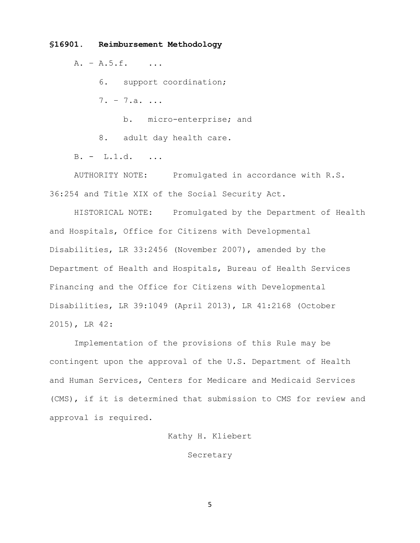#### **§16901. Reimbursement Methodology**

A. – A.5.f. ...

6. support coordination;

7. – 7.a. ...

b. micro-enterprise; and

8. adult day health care.

B. - L.1.d. ...

AUTHORITY NOTE: Promulgated in accordance with R.S. 36:254 and Title XIX of the Social Security Act.

HISTORICAL NOTE: Promulgated by the Department of Health and Hospitals, Office for Citizens with Developmental Disabilities, LR 33:2456 (November 2007), amended by the Department of Health and Hospitals, Bureau of Health Services Financing and the Office for Citizens with Developmental Disabilities, LR 39:1049 (April 2013), LR 41:2168 (October 2015), LR 42:

Implementation of the provisions of this Rule may be contingent upon the approval of the U.S. Department of Health and Human Services, Centers for Medicare and Medicaid Services (CMS), if it is determined that submission to CMS for review and approval is required.

Kathy H. Kliebert

Secretary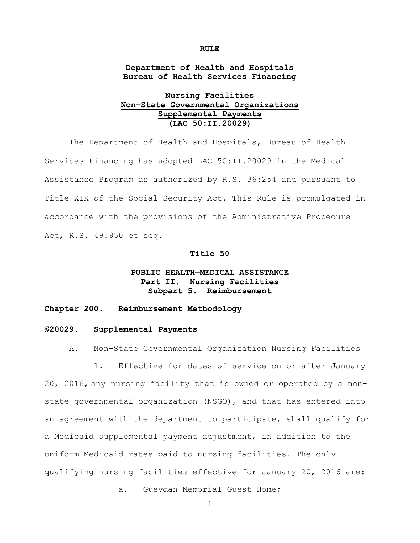#### **RULE**

**Department of Health and Hospitals Bureau of Health Services Financing**

# **Nursing Facilities Non-State Governmental Organizations Supplemental Payments (LAC 50:II.20029)**

The Department of Health and Hospitals, Bureau of Health Services Financing has adopted LAC 50:II.20029 in the Medical Assistance Program as authorized by R.S. 36:254 and pursuant to Title XIX of the Social Security Act. This Rule is promulgated in accordance with the provisions of the Administrative Procedure Act, R.S. 49:950 et seq.

## **Title 50**

# **PUBLIC HEALTH─MEDICAL ASSISTANCE Part II. Nursing Facilities Subpart 5. Reimbursement**

#### **Chapter 200. Reimbursement Methodology**

#### **§20029. Supplemental Payments**

A. Non-State Governmental Organization Nursing Facilities

1. Effective for dates of service on or after January 20, 2016, any nursing facility that is owned or operated by a nonstate governmental organization (NSGO), and that has entered into an agreement with the department to participate, shall qualify for a Medicaid supplemental payment adjustment, in addition to the uniform Medicaid rates paid to nursing facilities. The only qualifying nursing facilities effective for January 20, 2016 are:

a. Gueydan Memorial Guest Home;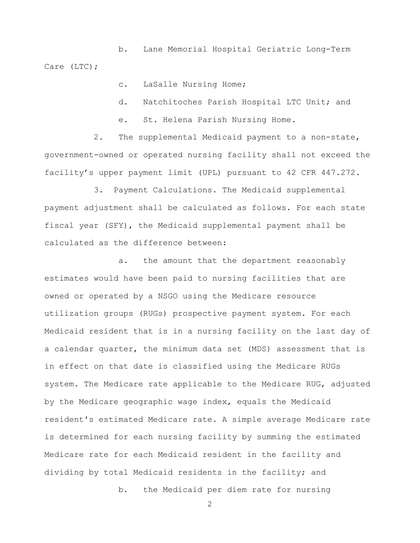b. Lane Memorial Hospital Geriatric Long-Term Care (LTC);

c. LaSalle Nursing Home;

d. Natchitoches Parish Hospital LTC Unit; and

e. St. Helena Parish Nursing Home.

2. The supplemental Medicaid payment to a non-state, government-owned or operated nursing facility shall not exceed the facility's upper payment limit (UPL) pursuant to 42 CFR 447.272.

3. Payment Calculations. The Medicaid supplemental payment adjustment shall be calculated as follows. For each state fiscal year (SFY), the Medicaid supplemental payment shall be calculated as the difference between:

 a. the amount that the department reasonably estimates would have been paid to nursing facilities that are owned or operated by a NSGO using the Medicare resource utilization groups (RUGs) prospective payment system. For each Medicaid resident that is in a nursing facility on the last day of a calendar quarter, the minimum data set (MDS) assessment that is in effect on that date is classified using the Medicare RUGs system. The Medicare rate applicable to the Medicare RUG, adjusted by the Medicare geographic wage index, equals the Medicaid resident's estimated Medicare rate. A simple average Medicare rate is determined for each nursing facility by summing the estimated Medicare rate for each Medicaid resident in the facility and dividing by total Medicaid residents in the facility; and

b. the Medicaid per diem rate for nursing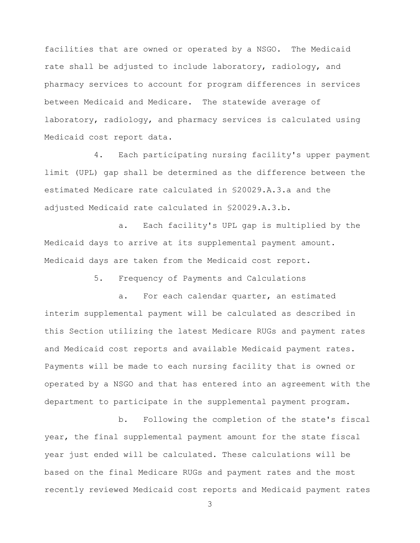facilities that are owned or operated by a NSGO. The Medicaid rate shall be adjusted to include laboratory, radiology, and pharmacy services to account for program differences in services between Medicaid and Medicare. The statewide average of laboratory, radiology, and pharmacy services is calculated using Medicaid cost report data.

 4. Each participating nursing facility's upper payment limit (UPL) gap shall be determined as the difference between the estimated Medicare rate calculated in §20029.A.3.a and the adjusted Medicaid rate calculated in §20029.A.3.b.

 a. Each facility's UPL gap is multiplied by the Medicaid days to arrive at its supplemental payment amount. Medicaid days are taken from the Medicaid cost report.

5. Frequency of Payments and Calculations

a. For each calendar quarter, an estimated interim supplemental payment will be calculated as described in this Section utilizing the latest Medicare RUGs and payment rates and Medicaid cost reports and available Medicaid payment rates. Payments will be made to each nursing facility that is owned or operated by a NSGO and that has entered into an agreement with the department to participate in the supplemental payment program.

b. Following the completion of the state's fiscal year, the final supplemental payment amount for the state fiscal year just ended will be calculated. These calculations will be based on the final Medicare RUGs and payment rates and the most recently reviewed Medicaid cost reports and Medicaid payment rates